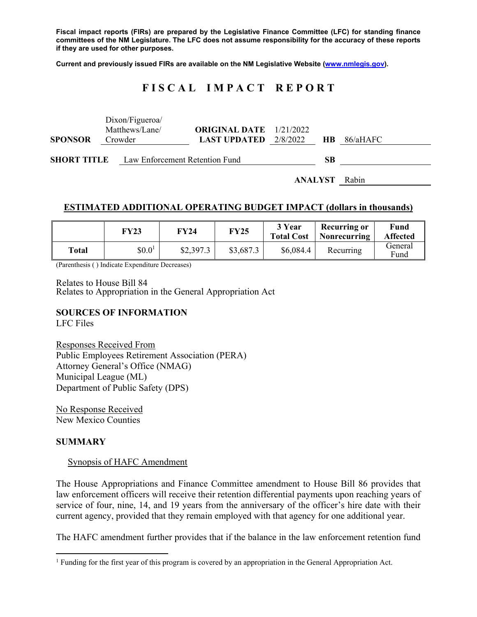**Fiscal impact reports (FIRs) are prepared by the Legislative Finance Committee (LFC) for standing finance committees of the NM Legislature. The LFC does not assume responsibility for the accuracy of these reports if they are used for other purposes.** 

**Current and previously issued FIRs are available on the NM Legislative Website (www.nmlegis.gov).** 

# **F I S C A L I M P A C T R E P O R T**

|                                                   | Dixon/Figueroa/ |                                |  |    |                    |
|---------------------------------------------------|-----------------|--------------------------------|--|----|--------------------|
|                                                   | Matthews/Lane/  | <b>ORIGINAL DATE</b> 1/21/2022 |  |    |                    |
| <b>SPONSOR</b>                                    | Crowder         | <b>LAST UPDATED</b> $2/8/2022$ |  |    | <b>HB</b> 86/aHAFC |
| <b>SHORT TITLE</b> Law Enforcement Retention Fund |                 |                                |  | SВ |                    |
|                                                   |                 |                                |  |    |                    |
|                                                   | ANALYST         |                                |  |    | Rabin              |

#### **ESTIMATED ADDITIONAL OPERATING BUDGET IMPACT (dollars in thousands)**

|       | FY23               | FY24      | <b>FY25</b> | 3 Year<br><b>Total Cost</b> | Recurring or<br>Nonrecurring | Fund<br><b>Affected</b> |
|-------|--------------------|-----------|-------------|-----------------------------|------------------------------|-------------------------|
| Total | \$0.0 <sup>1</sup> | \$2,397.3 | \$3,687.3   | \$6,084.4                   | Recurring                    | General<br>Fund         |

(Parenthesis ( ) Indicate Expenditure Decreases)

Relates to House Bill 84 Relates to Appropriation in the General Appropriation Act

#### **SOURCES OF INFORMATION**

LFC Files

Responses Received From Public Employees Retirement Association (PERA) Attorney General's Office (NMAG) Municipal League (ML) Department of Public Safety (DPS)

No Response Received New Mexico Counties

#### **SUMMARY**

 $\overline{a}$ 

#### Synopsis of HAFC Amendment

The House Appropriations and Finance Committee amendment to House Bill 86 provides that law enforcement officers will receive their retention differential payments upon reaching years of service of four, nine, 14, and 19 years from the anniversary of the officer's hire date with their current agency, provided that they remain employed with that agency for one additional year.

The HAFC amendment further provides that if the balance in the law enforcement retention fund

<sup>&</sup>lt;sup>1</sup> Funding for the first year of this program is covered by an appropriation in the General Appropriation Act.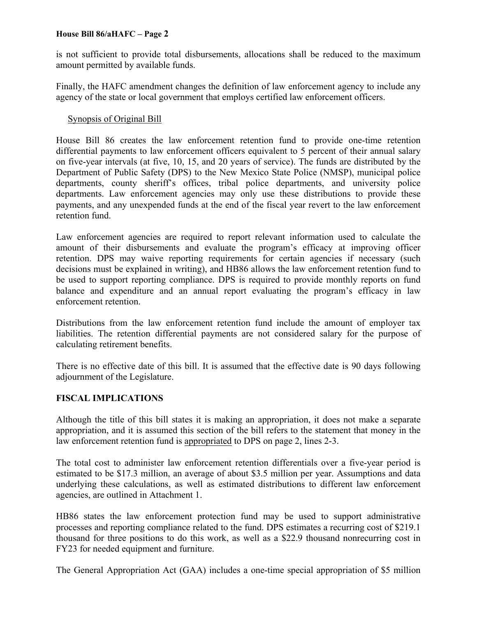is not sufficient to provide total disbursements, allocations shall be reduced to the maximum amount permitted by available funds.

Finally, the HAFC amendment changes the definition of law enforcement agency to include any agency of the state or local government that employs certified law enforcement officers.

### Synopsis of Original Bill

House Bill 86 creates the law enforcement retention fund to provide one-time retention differential payments to law enforcement officers equivalent to 5 percent of their annual salary on five-year intervals (at five, 10, 15, and 20 years of service). The funds are distributed by the Department of Public Safety (DPS) to the New Mexico State Police (NMSP), municipal police departments, county sheriff's offices, tribal police departments, and university police departments. Law enforcement agencies may only use these distributions to provide these payments, and any unexpended funds at the end of the fiscal year revert to the law enforcement retention fund.

Law enforcement agencies are required to report relevant information used to calculate the amount of their disbursements and evaluate the program's efficacy at improving officer retention. DPS may waive reporting requirements for certain agencies if necessary (such decisions must be explained in writing), and HB86 allows the law enforcement retention fund to be used to support reporting compliance. DPS is required to provide monthly reports on fund balance and expenditure and an annual report evaluating the program's efficacy in law enforcement retention.

Distributions from the law enforcement retention fund include the amount of employer tax liabilities. The retention differential payments are not considered salary for the purpose of calculating retirement benefits.

There is no effective date of this bill. It is assumed that the effective date is 90 days following adjournment of the Legislature.

## **FISCAL IMPLICATIONS**

Although the title of this bill states it is making an appropriation, it does not make a separate appropriation, and it is assumed this section of the bill refers to the statement that money in the law enforcement retention fund is appropriated to DPS on page 2, lines 2-3.

The total cost to administer law enforcement retention differentials over a five-year period is estimated to be \$17.3 million, an average of about \$3.5 million per year. Assumptions and data underlying these calculations, as well as estimated distributions to different law enforcement agencies, are outlined in Attachment 1.

HB86 states the law enforcement protection fund may be used to support administrative processes and reporting compliance related to the fund. DPS estimates a recurring cost of \$219.1 thousand for three positions to do this work, as well as a \$22.9 thousand nonrecurring cost in FY23 for needed equipment and furniture.

The General Appropriation Act (GAA) includes a one-time special appropriation of \$5 million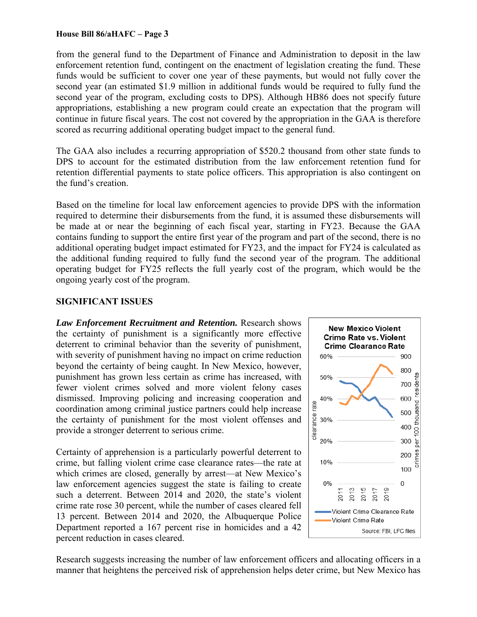from the general fund to the Department of Finance and Administration to deposit in the law enforcement retention fund, contingent on the enactment of legislation creating the fund. These funds would be sufficient to cover one year of these payments, but would not fully cover the second year (an estimated \$1.9 million in additional funds would be required to fully fund the second year of the program, excluding costs to DPS). Although HB86 does not specify future appropriations, establishing a new program could create an expectation that the program will continue in future fiscal years. The cost not covered by the appropriation in the GAA is therefore scored as recurring additional operating budget impact to the general fund.

The GAA also includes a recurring appropriation of \$520.2 thousand from other state funds to DPS to account for the estimated distribution from the law enforcement retention fund for retention differential payments to state police officers. This appropriation is also contingent on the fund's creation.

Based on the timeline for local law enforcement agencies to provide DPS with the information required to determine their disbursements from the fund, it is assumed these disbursements will be made at or near the beginning of each fiscal year, starting in FY23. Because the GAA contains funding to support the entire first year of the program and part of the second, there is no additional operating budget impact estimated for FY23, and the impact for FY24 is calculated as the additional funding required to fully fund the second year of the program. The additional operating budget for FY25 reflects the full yearly cost of the program, which would be the ongoing yearly cost of the program.

#### **SIGNIFICANT ISSUES**

*Law Enforcement Recruitment and Retention.* Research shows the certainty of punishment is a significantly more effective deterrent to criminal behavior than the severity of punishment, with severity of punishment having no impact on crime reduction beyond the certainty of being caught. In New Mexico, however, punishment has grown less certain as crime has increased, with fewer violent crimes solved and more violent felony cases dismissed. Improving policing and increasing cooperation and coordination among criminal justice partners could help increase the certainty of punishment for the most violent offenses and provide a stronger deterrent to serious crime.

Certainty of apprehension is a particularly powerful deterrent to crime, but falling violent crime case clearance rates—the rate at which crimes are closed, generally by arrest—at New Mexico's law enforcement agencies suggest the state is failing to create such a deterrent. Between 2014 and 2020, the state's violent crime rate rose 30 percent, while the number of cases cleared fell 13 percent. Between 2014 and 2020, the Albuquerque Police Department reported a 167 percent rise in homicides and a 42 percent reduction in cases cleared.



Research suggests increasing the number of law enforcement officers and allocating officers in a manner that heightens the perceived risk of apprehension helps deter crime, but New Mexico has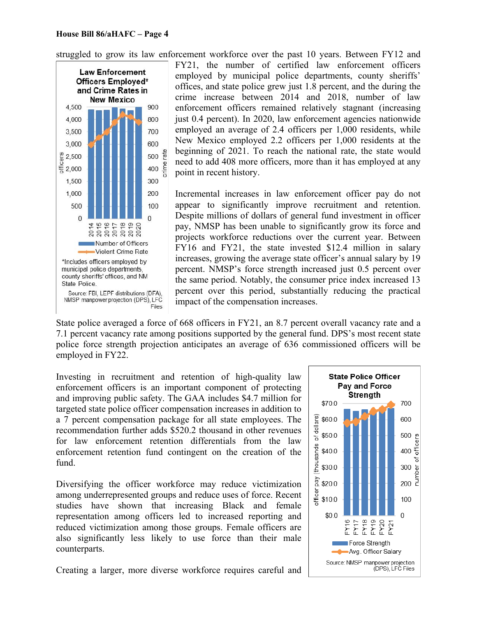struggled to grow its law enforcement workforce over the past 10 years. Between FY12 and



FY21, the number of certified law enforcement officers employed by municipal police departments, county sheriffs' offices, and state police grew just 1.8 percent, and the during the crime increase between 2014 and 2018, number of law enforcement officers remained relatively stagnant (increasing just 0.4 percent). In 2020, law enforcement agencies nationwide employed an average of 2.4 officers per 1,000 residents, while New Mexico employed 2.2 officers per 1,000 residents at the beginning of 2021. To reach the national rate, the state would need to add 408 more officers, more than it has employed at any point in recent history.

Incremental increases in law enforcement officer pay do not appear to significantly improve recruitment and retention. Despite millions of dollars of general fund investment in officer pay, NMSP has been unable to significantly grow its force and projects workforce reductions over the current year. Between FY16 and FY21, the state invested \$12.4 million in salary increases, growing the average state officer's annual salary by 19 percent. NMSP's force strength increased just 0.5 percent over the same period. Notably, the consumer price index increased 13 percent over this period, substantially reducing the practical impact of the compensation increases.

State police averaged a force of 668 officers in FY21, an 8.7 percent overall vacancy rate and a 7.1 percent vacancy rate among positions supported by the general fund. DPS's most recent state police force strength projection anticipates an average of 636 commissioned officers will be employed in FY22.

Investing in recruitment and retention of high-quality law enforcement officers is an important component of protecting and improving public safety. The GAA includes \$4.7 million for targeted state police officer compensation increases in addition to a 7 percent compensation package for all state employees. The recommendation further adds \$520.2 thousand in other revenues for law enforcement retention differentials from the law enforcement retention fund contingent on the creation of the fund.

Diversifying the officer workforce may reduce victimization among underrepresented groups and reduce uses of force. Recent studies have shown that increasing Black and female representation among officers led to increased reporting and reduced victimization among those groups. Female officers are also significantly less likely to use force than their male counterparts.

Creating a larger, more diverse workforce requires careful and

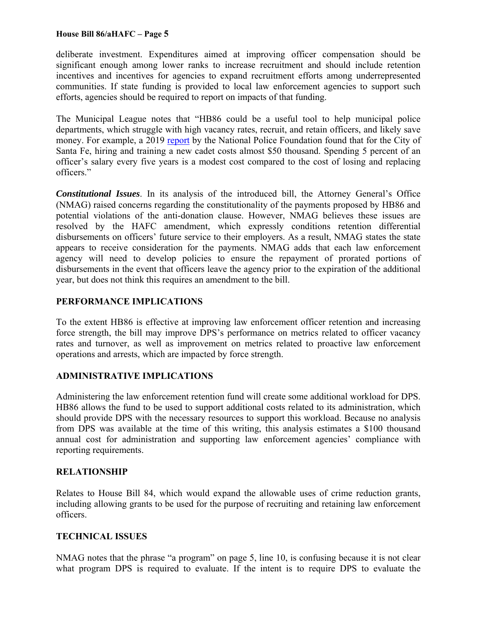deliberate investment. Expenditures aimed at improving officer compensation should be significant enough among lower ranks to increase recruitment and should include retention incentives and incentives for agencies to expand recruitment efforts among underrepresented communities. If state funding is provided to local law enforcement agencies to support such efforts, agencies should be required to report on impacts of that funding.

The Municipal League notes that "HB86 could be a useful tool to help municipal police departments, which struggle with high vacancy rates, recruit, and retain officers, and likely save money. For example, a 2019 report by the National Police Foundation found that for the City of Santa Fe, hiring and training a new cadet costs almost \$50 thousand. Spending 5 percent of an officer's salary every five years is a modest cost compared to the cost of losing and replacing officers."

*Constitutional Issues*. In its analysis of the introduced bill, the Attorney General's Office (NMAG) raised concerns regarding the constitutionality of the payments proposed by HB86 and potential violations of the anti-donation clause. However, NMAG believes these issues are resolved by the HAFC amendment, which expressly conditions retention differential disbursements on officers' future service to their employers. As a result, NMAG states the state appears to receive consideration for the payments. NMAG adds that each law enforcement agency will need to develop policies to ensure the repayment of prorated portions of disbursements in the event that officers leave the agency prior to the expiration of the additional year, but does not think this requires an amendment to the bill.

## **PERFORMANCE IMPLICATIONS**

To the extent HB86 is effective at improving law enforcement officer retention and increasing force strength, the bill may improve DPS's performance on metrics related to officer vacancy rates and turnover, as well as improvement on metrics related to proactive law enforcement operations and arrests, which are impacted by force strength.

#### **ADMINISTRATIVE IMPLICATIONS**

Administering the law enforcement retention fund will create some additional workload for DPS. HB86 allows the fund to be used to support additional costs related to its administration, which should provide DPS with the necessary resources to support this workload. Because no analysis from DPS was available at the time of this writing, this analysis estimates a \$100 thousand annual cost for administration and supporting law enforcement agencies' compliance with reporting requirements.

## **RELATIONSHIP**

Relates to House Bill 84, which would expand the allowable uses of crime reduction grants, including allowing grants to be used for the purpose of recruiting and retaining law enforcement officers.

## **TECHNICAL ISSUES**

NMAG notes that the phrase "a program" on page 5, line 10, is confusing because it is not clear what program DPS is required to evaluate. If the intent is to require DPS to evaluate the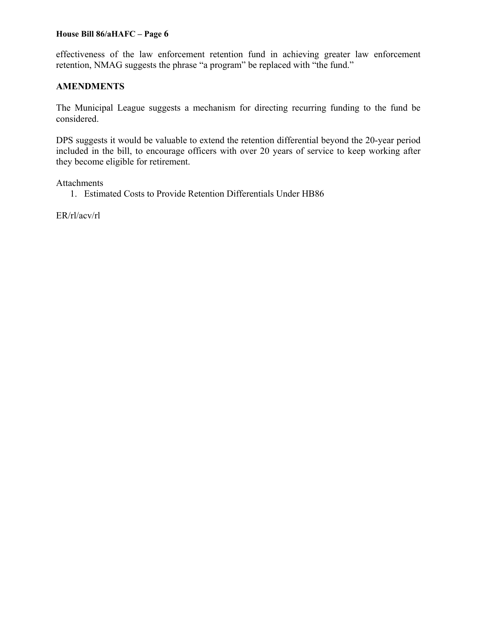effectiveness of the law enforcement retention fund in achieving greater law enforcement retention, NMAG suggests the phrase "a program" be replaced with "the fund."

### **AMENDMENTS**

The Municipal League suggests a mechanism for directing recurring funding to the fund be considered.

DPS suggests it would be valuable to extend the retention differential beyond the 20-year period included in the bill, to encourage officers with over 20 years of service to keep working after they become eligible for retirement.

Attachments

1. Estimated Costs to Provide Retention Differentials Under HB86

ER/rl/acv/rl